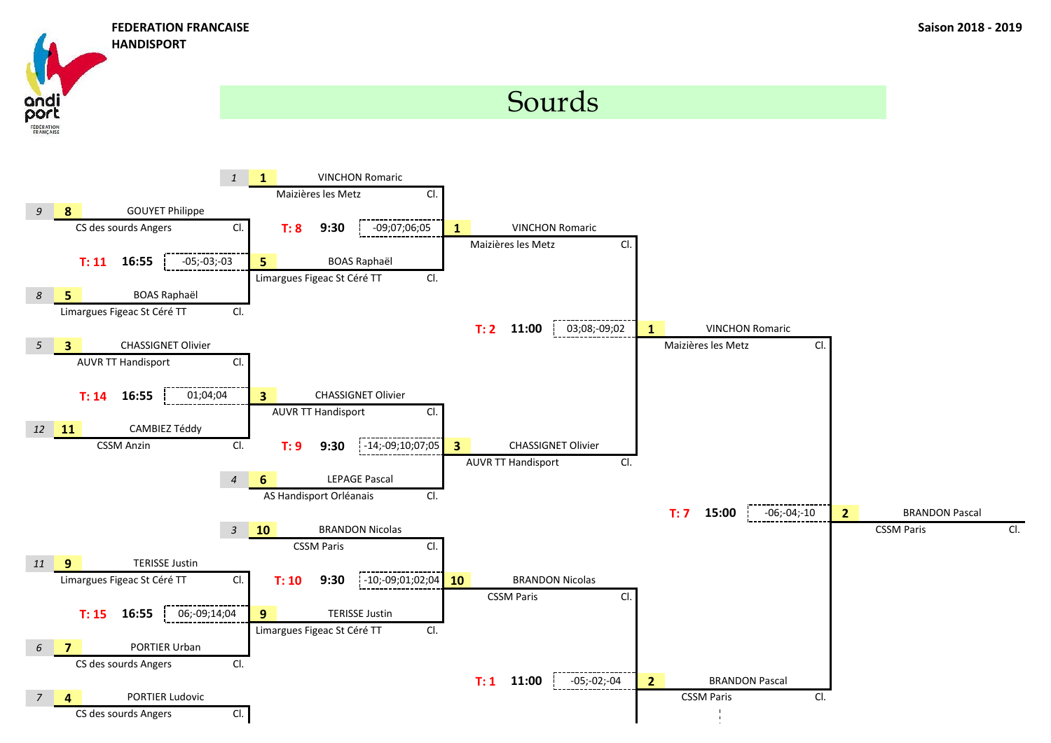ana oort

**FEDERATION** 

**HANDISPORT**

## Sourds

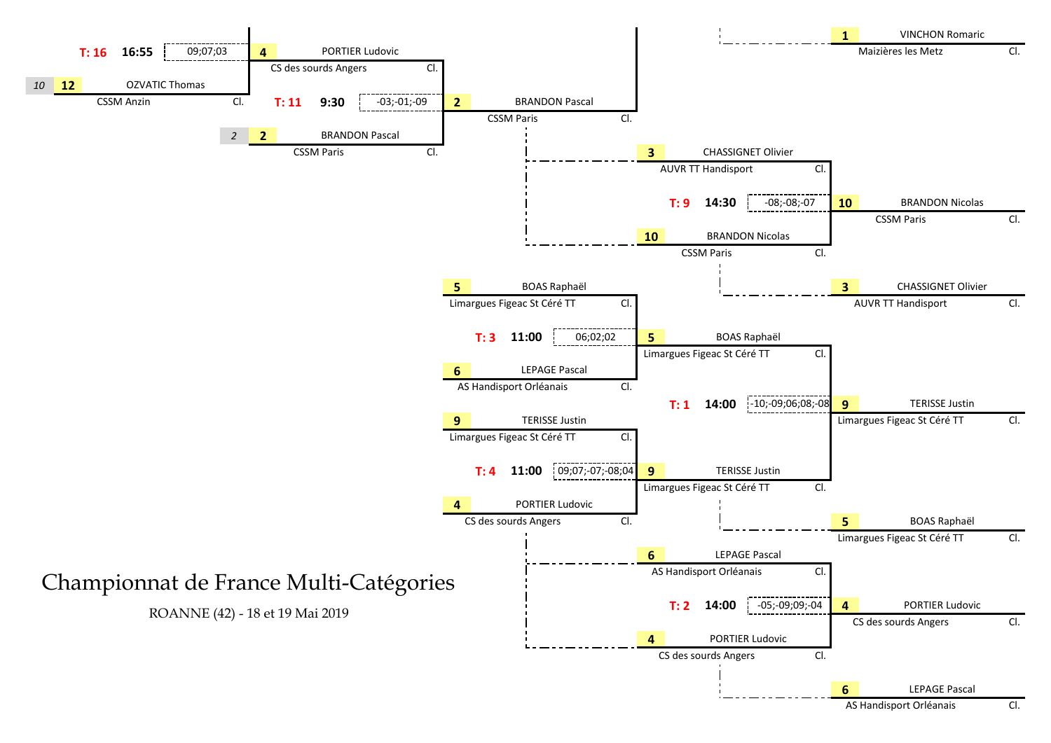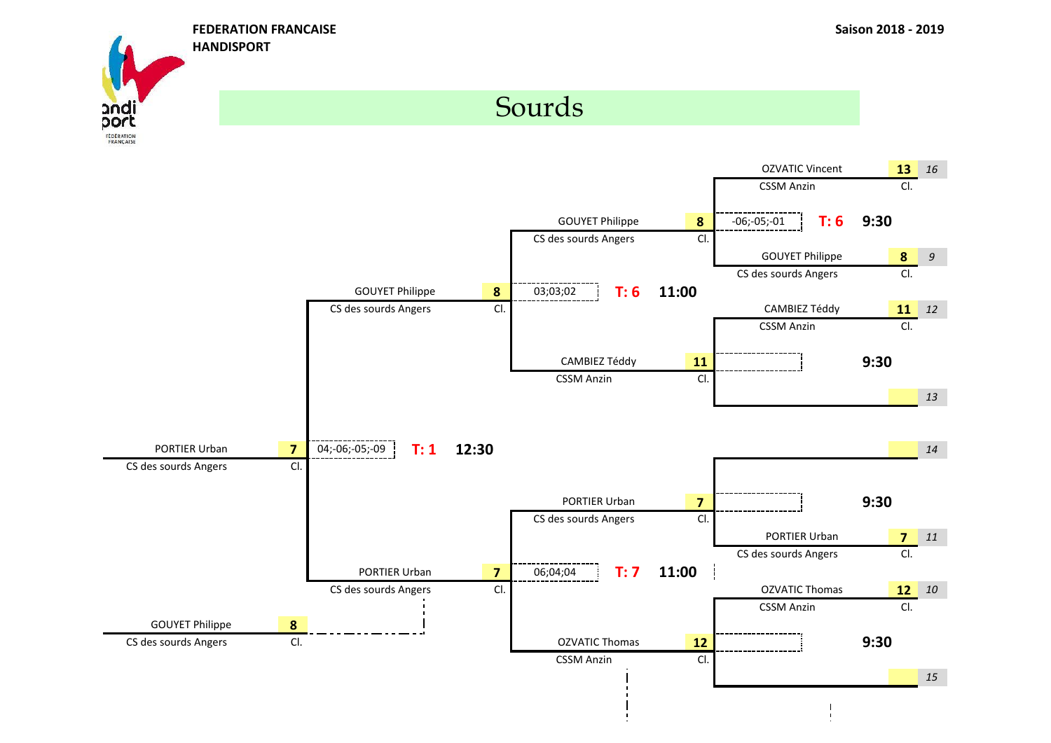**FEDERATION FRANCAISE Saison 2018 - 2019**

 $\blacksquare$ 



**HANDISPORT**

## Sourds